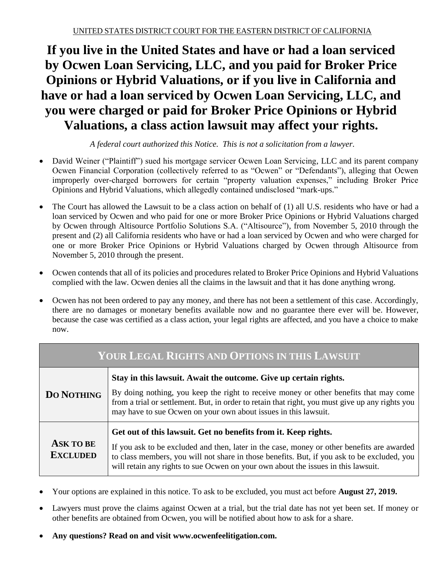# **If you live in the United States and have or had a loan serviced by Ocwen Loan Servicing, LLC, and you paid for Broker Price Opinions or Hybrid Valuations, or if you live in California and have or had a loan serviced by Ocwen Loan Servicing, LLC, and you were charged or paid for Broker Price Opinions or Hybrid Valuations, a class action lawsuit may affect your rights.**

*A federal court authorized this Notice. This is not a solicitation from a lawyer.*

- David Weiner ("Plaintiff") sued his mortgage servicer Ocwen Loan Servicing, LLC and its parent company Ocwen Financial Corporation (collectively referred to as "Ocwen" or "Defendants"), alleging that Ocwen improperly over-charged borrowers for certain "property valuation expenses," including Broker Price Opinions and Hybrid Valuations, which allegedly contained undisclosed "mark-ups."
- The Court has allowed the Lawsuit to be a class action on behalf of (1) all U.S. residents who have or had a loan serviced by Ocwen and who paid for one or more Broker Price Opinions or Hybrid Valuations charged by Ocwen through Altisource Portfolio Solutions S.A. ("Altisource"), from November 5, 2010 through the present and (2) all California residents who have or had a loan serviced by Ocwen and who were charged for one or more Broker Price Opinions or Hybrid Valuations charged by Ocwen through Altisource from November 5, 2010 through the present.
- Ocwen contends that all of its policies and procedures related to Broker Price Opinions and Hybrid Valuations complied with the law. Ocwen denies all the claims in the lawsuit and that it has done anything wrong.
- Ocwen has not been ordered to pay any money, and there has not been a settlement of this case. Accordingly, there are no damages or monetary benefits available now and no guarantee there ever will be. However, because the case was certified as a class action, your legal rights are affected, and you have a choice to make now.

| YOUR LEGAL RIGHTS AND OPTIONS IN THIS LAWSUIT |                                                                                                                                                                                                                                                                                                                                                  |  |  |
|-----------------------------------------------|--------------------------------------------------------------------------------------------------------------------------------------------------------------------------------------------------------------------------------------------------------------------------------------------------------------------------------------------------|--|--|
| <b>DO NOTHING</b>                             | Stay in this lawsuit. Await the outcome. Give up certain rights.<br>By doing nothing, you keep the right to receive money or other benefits that may come<br>from a trial or settlement. But, in order to retain that right, you must give up any rights you<br>may have to sue Ocwen on your own about issues in this lawsuit.                  |  |  |
| <b>ASK TO BE</b><br><b>EXCLUDED</b>           | Get out of this lawsuit. Get no benefits from it. Keep rights.<br>If you ask to be excluded and then, later in the case, money or other benefits are awarded<br>to class members, you will not share in those benefits. But, if you ask to be excluded, you<br>will retain any rights to sue Ocwen on your own about the issues in this lawsuit. |  |  |

- Your options are explained in this notice. To ask to be excluded, you must act before **August 27, 2019.**
- Lawyers must prove the claims against Ocwen at a trial, but the trial date has not yet been set. If money or other benefits are obtained from Ocwen, you will be notified about how to ask for a share.
- **Any questions? Read on and visit www.ocwenfeelitigation.com.**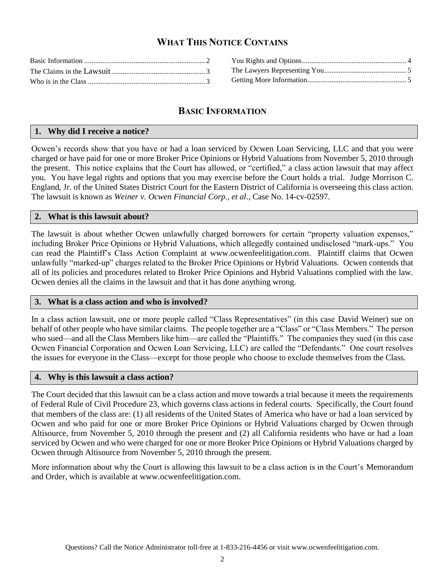# **WHAT THIS NOTICE CONTAINS**

# **BASIC INFORMATION**

#### **1. Why did I receive a notice?**

Ocwen's records show that you have or had a loan serviced by Ocwen Loan Servicing, LLC and that you were charged or have paid for one or more Broker Price Opinions or Hybrid Valuations from November 5, 2010 through the present. This notice explains that the Court has allowed, or "certified," a class action lawsuit that may affect you. You have legal rights and options that you may exercise before the Court holds a trial. Judge Morrison C. England, Jr. of the United States District Court for the Eastern District of California is overseeing this class action. The lawsuit is known as *Weiner v. Ocwen Financial Corp., et al*., Case No. 14-cv-02597.

## **2. What is this lawsuit about?**

The lawsuit is about whether Ocwen unlawfully charged borrowers for certain "property valuation expenses," including Broker Price Opinions or Hybrid Valuations, which allegedly contained undisclosed "mark-ups." You can read the Plaintiff's Class Action Complaint at www.ocwenfeelitigation.com. Plaintiff claims that Ocwen unlawfully "marked-up" charges related to the Broker Price Opinions or Hybrid Valuations. Ocwen contends that all of its policies and procedures related to Broker Price Opinions and Hybrid Valuations complied with the law. Ocwen denies all the claims in the lawsuit and that it has done anything wrong.

#### **3. What is a class action and who is involved?**

In a class action lawsuit, one or more people called "Class Representatives" (in this case David Weiner) sue on behalf of other people who have similar claims. The people together are a "Class" or "Class Members." The person who sued—and all the Class Members like him—are called the "Plaintiffs." The companies they sued (in this case Ocwen Financial Corporation and Ocwen Loan Servicing, LLC) are called the "Defendants." One court resolves the issues for everyone in the Class—except for those people who choose to exclude themselves from the Class.

#### **4. Why is this lawsuit a class action?**

The Court decided that this lawsuit can be a class action and move towards a trial because it meets the requirements of Federal Rule of Civil Procedure 23, which governs class actions in federal courts. Specifically, the Court found that members of the class are: (1) all residents of the United States of America who have or had a loan serviced by Ocwen and who paid for one or more Broker Price Opinions or Hybrid Valuations charged by Ocwen through Altisource, from November 5, 2010 through the present and (2) all California residents who have or had a loan serviced by Ocwen and who were charged for one or more Broker Price Opinions or Hybrid Valuations charged by Ocwen through Altisource from November 5, 2010 through the present.

More information about why the Court is allowing this lawsuit to be a class action is in the Court's Memorandum and Order, which is available at www.ocwenfeelitigation.com.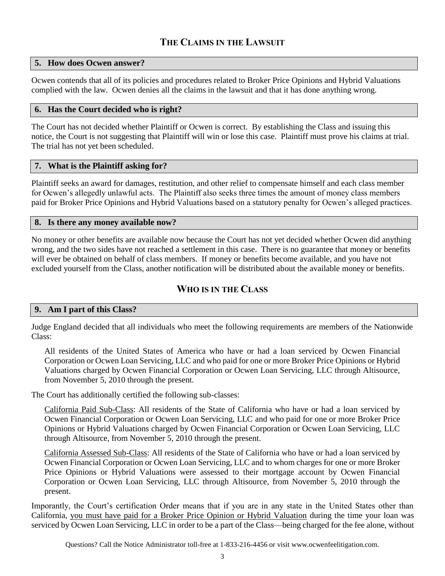## **5. How does Ocwen answer?**

Ocwen contends that all of its policies and procedures related to Broker Price Opinions and Hybrid Valuations complied with the law. Ocwen denies all the claims in the lawsuit and that it has done anything wrong.

## **6. Has the Court decided who is right?**

The Court has not decided whether Plaintiff or Ocwen is correct. By establishing the Class and issuing this notice, the Court is not suggesting that Plaintiff will win or lose this case. Plaintiff must prove his claims at trial. The trial has not yet been scheduled.

## **7. What is the Plaintiff asking for?**

Plaintiff seeks an award for damages, restitution, and other relief to compensate himself and each class member for Ocwen's allegedly unlawful acts. The Plaintiff also seeks three times the amount of money class members paid for Broker Price Opinions and Hybrid Valuations based on a statutory penalty for Ocwen's alleged practices.

#### **8. Is there any money available now?**

No money or other benefits are available now because the Court has not yet decided whether Ocwen did anything wrong, and the two sides have not reached a settlement in this case. There is no guarantee that money or benefits will ever be obtained on behalf of class members. If money or benefits become available, and you have not excluded yourself from the Class, another notification will be distributed about the available money or benefits.

# **WHO IS IN THE CLASS**

# **9. Am I part of this Class?**

Judge England decided that all individuals who meet the following requirements are members of the Nationwide Class:

All residents of the United States of America who have or had a loan serviced by Ocwen Financial Corporation or Ocwen Loan Servicing, LLC and who paid for one or more Broker Price Opinions or Hybrid Valuations charged by Ocwen Financial Corporation or Ocwen Loan Servicing, LLC through Altisource, from November 5, 2010 through the present.

The Court has additionally certified the following sub-classes:

California Paid Sub-Class: All residents of the State of California who have or had a loan serviced by Ocwen Financial Corporation or Ocwen Loan Servicing, LLC and who paid for one or more Broker Price Opinions or Hybrid Valuations charged by Ocwen Financial Corporation or Ocwen Loan Servicing, LLC through Altisource, from November 5, 2010 through the present.

California Assessed Sub-Class: All residents of the State of California who have or had a loan serviced by Ocwen Financial Corporation or Ocwen Loan Servicing, LLC and to whom charges for one or more Broker Price Opinions or Hybrid Valuations were assessed to their mortgage account by Ocwen Financial Corporation or Ocwen Loan Servicing, LLC through Altisource, from November 5, 2010 through the present.

Imporantly, the Court's certification Order means that if you are in any state in the United States other than California, you must have paid for a Broker Price Opinion or Hybrid Valuation during the time your loan was serviced by Ocwen Loan Servicing, LLC in order to be a part of the Class—being charged for the fee alone, without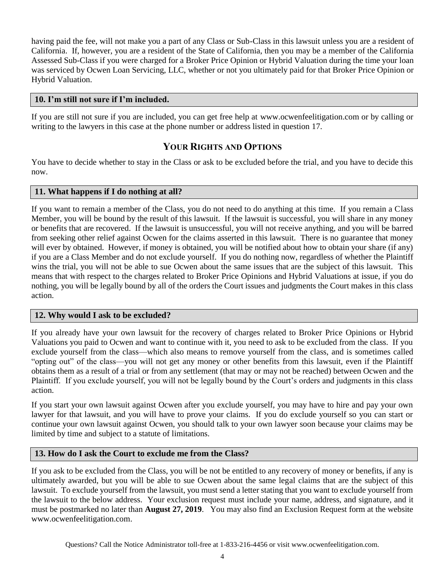having paid the fee, will not make you a part of any Class or Sub-Class in this lawsuit unless you are a resident of California. If, however, you are a resident of the State of California, then you may be a member of the California Assessed Sub-Class if you were charged for a Broker Price Opinion or Hybrid Valuation during the time your loan was serviced by Ocwen Loan Servicing, LLC, whether or not you ultimately paid for that Broker Price Opinion or Hybrid Valuation.

# **10. I'm still not sure if I'm included.**

If you are still not sure if you are included, you can get free help at www.ocwenfeelitigation.com or by calling or writing to the lawyers in this case at the phone number or address listed in question 17.

# **YOUR RIGHTS AND OPTIONS**

You have to decide whether to stay in the Class or ask to be excluded before the trial, and you have to decide this now.

# **11. What happens if I do nothing at all?**

If you want to remain a member of the Class, you do not need to do anything at this time. If you remain a Class Member, you will be bound by the result of this lawsuit. If the lawsuit is successful, you will share in any money or benefits that are recovered. If the lawsuit is unsuccessful, you will not receive anything, and you will be barred from seeking other relief against Ocwen for the claims asserted in this lawsuit. There is no guarantee that money will ever by obtained. However, if money is obtained, you will be notified about how to obtain your share (if any) if you are a Class Member and do not exclude yourself. If you do nothing now, regardless of whether the Plaintiff wins the trial, you will not be able to sue Ocwen about the same issues that are the subject of this lawsuit. This means that with respect to the charges related to Broker Price Opinions and Hybrid Valuations at issue, if you do nothing, you will be legally bound by all of the orders the Court issues and judgments the Court makes in this class action.

#### **12. Why would I ask to be excluded?**

If you already have your own lawsuit for the recovery of charges related to Broker Price Opinions or Hybrid Valuations you paid to Ocwen and want to continue with it, you need to ask to be excluded from the class. If you exclude yourself from the class—which also means to remove yourself from the class, and is sometimes called "opting out" of the class—you will not get any money or other benefits from this lawsuit, even if the Plaintiff obtains them as a result of a trial or from any settlement (that may or may not be reached) between Ocwen and the Plaintiff. If you exclude yourself, you will not be legally bound by the Court's orders and judgments in this class action.

If you start your own lawsuit against Ocwen after you exclude yourself, you may have to hire and pay your own lawyer for that lawsuit, and you will have to prove your claims. If you do exclude yourself so you can start or continue your own lawsuit against Ocwen, you should talk to your own lawyer soon because your claims may be limited by time and subject to a statute of limitations.

# **13. How do I ask the Court to exclude me from the Class?**

If you ask to be excluded from the Class, you will be not be entitled to any recovery of money or benefits, if any is ultimately awarded, but you will be able to sue Ocwen about the same legal claims that are the subject of this lawsuit. To exclude yourself from the lawsuit, you must send a letter stating that you want to exclude yourself from the lawsuit to the below address. Your exclusion request must include your name, address, and signature, and it must be postmarked no later than **August 27, 2019**. You may also find an Exclusion Request form at the website www.ocwenfeelitigation.com.